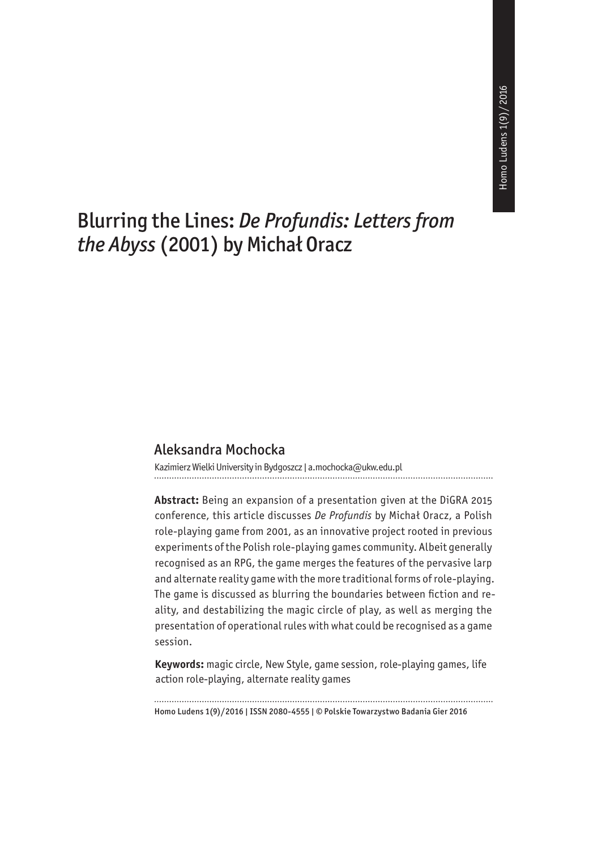# Blurring the Lines: *De Profundis: Letters from the Abyss* (2001) by Michał Oracz

#### Aleksandra Mochocka

Kazimierz Wielki University in Bydgoszcz | a.mochocka@ukw.edu.pl

**Abstract:** Being an expansion of a presentation given at the DiGRA 2015 conference, this article discusses *De Profundis* by Michał Oracz, a Polish role-playing game from 2001, as an innovative project rooted in previous experiments of the Polish role-playing games community. Albeit generally recognised as an RPG, the game merges the features of the pervasive larp and alternate reality game with the more traditional forms of role-playing. The game is discussed as blurring the boundaries between fiction and reality, and destabilizing the magic circle of play, as well as merging the presentation of operational rules with what could be recognised as a game session.

**Keywords:**  magic circle, New Style, game session, role-playing games, life action role-playing, alternate reality games

Homo Ludens 1(9)/2016 | ISSN 2080-4555 | © Polskie Towarzystwo Badania Gier 2016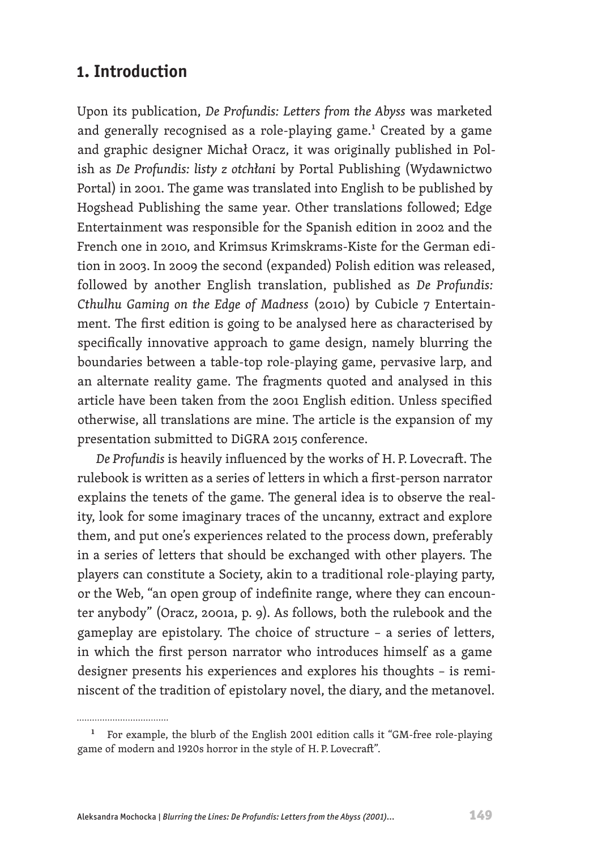## **1. Introduction**

Upon its publication, *De Profundis: Letters from the Abyss* was marketed and generally recognised as a role-playing game.<sup>1</sup> Created by a game and graphic designer Michał Oracz, it was originally published in Polish as *De Profundis: listy z otchłani* by Portal Publishing (Wydawnictwo Portal) in 2001. The game was translated into English to be published by Hogshead Publishing the same year. Other translations followed; Edge Entertainment was responsible for the Spanish edition in 2002 and the French one in 2010, and Krimsus Krimskrams-Kiste for the German edition in 2003. In 2009 the second (expanded) Polish edition was released, followed by another English translation, published as *De Profundis: Cthulhu Gaming on the Edge of Madness* (2010) by Cubicle 7 Entertainment. The first edition is going to be analysed here as characterised by specifically innovative approach to game design, namely blurring the boundaries between a table-top role-playing game, pervasive larp, and an alternate reality game. The fragments quoted and analysed in this article have been taken from the 2001 English edition. Unless specified otherwise, all translations are mine. The article is the expansion of my presentation submitted to DiGRA 2015 conference.

*De Profundis* is heavily influenced by the works of H. P. Lovecraft. The rulebook is written as a series of letters in which a first-person narrator explains the tenets of the game. The general idea is to observe the reality, look for some imaginary traces of the uncanny, extract and explore them, and put one's experiences related to the process down, preferably in a series of letters that should be exchanged with other players. The players can constitute a Society, akin to a traditional role-playing party, or the Web, "an open group of indefinite range, where they can encounter anybody" (Oracz, 2001a, p. 9). As follows, both the rulebook and the gameplay are epistolary. The choice of structure – a series of letters, in which the first person narrator who introduces himself as a game designer presents his experiences and explores his thoughts – is reminiscent of the tradition of epistolary novel, the diary, and the metanovel.

<sup>&</sup>lt;sup>1</sup> For example, the blurb of the English 2001 edition calls it "GM-free role-playing game of modern and 1920s horror in the style of H. P. Lovecraft".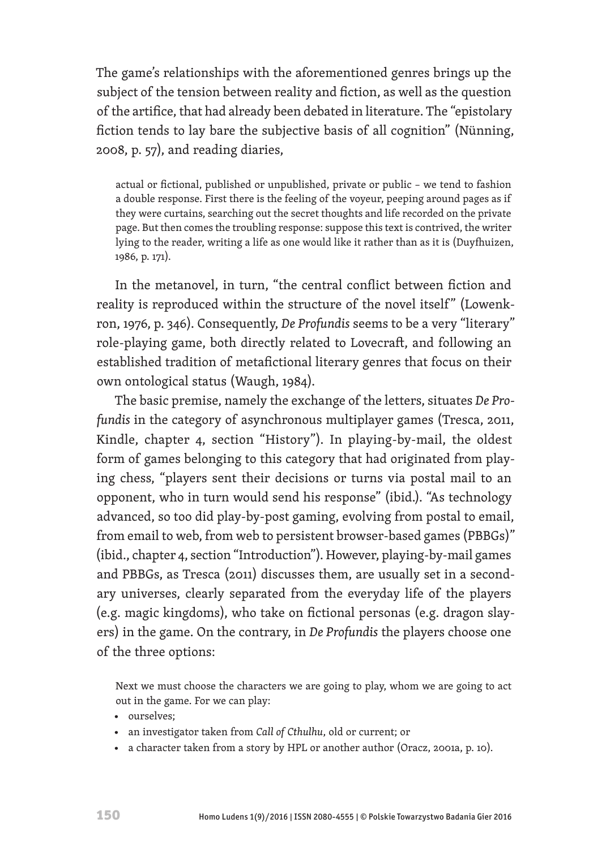The game's relationships with the aforementioned genres brings up the subject of the tension between reality and fiction, as well as the question of the artifice, that had already been debated in literature. The "epistolary fiction tends to lay bare the subjective basis of all cognition" (Nünning, 2008, p. 57), and reading diaries,

actual or fictional, published or unpublished, private or public – we tend to fashion a double response. First there is the feeling of the voyeur, peeping around pages as if they were curtains, searching out the secret thoughts and life recorded on the private page. But then comes the troubling response: suppose this text is contrived, the writer lying to the reader, writing a life as one would like it rather than as it is (Duyfhuizen, 1986, p. 171).

In the metanovel, in turn, "the central conflict between fiction and reality is reproduced within the structure of the novel itself" (Lowenkron, 1976, p. 346). Consequently, *De Profundis* seems to be a very "literary" role-playing game, both directly related to Lovecraft, and following an established tradition of metafictional literary genres that focus on their own ontological status (Waugh, 1984).

The basic premise, namely the exchange of the letters, situates *De Profundis* in the category of asynchronous multiplayer games (Tresca, 2011, Kindle, chapter 4, section "History"). In playing-by-mail, the oldest form of games belonging to this category that had originated from playing chess, "players sent their decisions or turns via postal mail to an opponent, who in turn would send his response" (ibid.). "As technology advanced, so too did play-by-post gaming, evolving from postal to email, from email to web, from web to persistent browser-based games (PBBGs)" (ibid., chapter 4, section "Introduction"). However, playing-by-mail games and PBBGs, as Tresca (2011) discusses them, are usually set in a secondary universes, clearly separated from the everyday life of the players (e.g. magic kingdoms), who take on fictional personas (e.g. dragon slayers) in the game. On the contrary, in *De Profundis* the players choose one of the three options:

Next we must choose the characters we are going to play, whom we are going to act out in the game. For we can play:

- ourselves;
- an investigator taken from *Call of Cthulhu*, old or current; or
- a character taken from a story by HPL or another author (Oracz, 2001a, p. 10).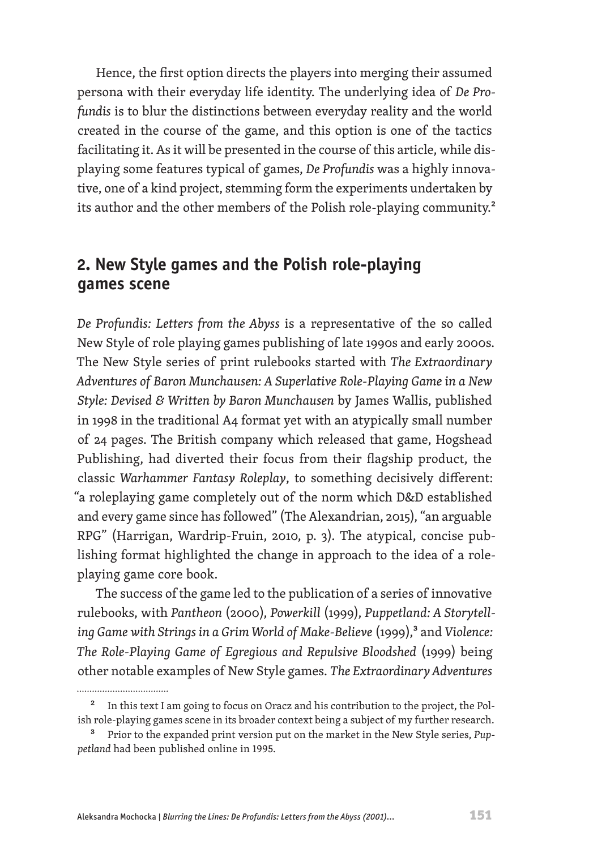Hence, the first option directs the players into merging their assumed persona with their everyday life identity. The underlying idea of *De Profundis* is to blur the distinctions between everyday reality and the world created in the course of the game, and this option is one of the tactics facilitating it. As it will be presented in the course of this article, while displaying some features typical of games, *De Profundis* was a highly innovative, one of a kind project, stemming form the experiments undertaken by its author and the other members of the Polish role-playing community.<sup>2</sup>

#### **2. New Style games and the Polish role-playing games scene**

*De Profundis: Letters from the Abyss* is a representative of the so called New Style of role playing games publishing of late 1990s and early 2000s. The New Style series of print rulebooks started with *The Extraordinary Adventures of Baron Munchausen: A Superlative Role-Playing Game in a New Style: Devised & Written by Baron Munchausen* by James Wallis, published in 1998 in the traditional A4 format yet with an atypically small number of 24 pages. The British company which released that game, Hogshead Publishing, had diverted their focus from their flagship product, the classic *Warhammer Fantasy Roleplay*, to something decisively different: "a roleplaying game completely out of the norm which D&D established and every game since has followed" (The Alexandrian, 2015), "an arguable RPG" (Harrigan, Wardrip-Fruin, 2010, p. 3). The atypical, concise publishing format highlighted the change in approach to the idea of a roleplaying game core book.

The success of the game led to the publication of a series of innovative rulebooks, with *Pantheon* (2000), *Powerkill* (1999), *Puppetland: A Storytelling Game with Strings in a Grim World of Make-Believe* (1999),<sup>3</sup> and *Violence: The Role-Playing Game of Egregious and Repulsive Bloodshed* (1999) being other notable examples of New Style games. *The Extraordinary Adventures*

<sup>&</sup>lt;sup>2</sup> In this text I am going to focus on Oracz and his contribution to the project, the Polish role-playing games scene in its broader context being a subject of my further research.

<sup>3</sup> Prior to the expanded print version put on the market in the New Style series, *Puppetland* had been published online in 1995.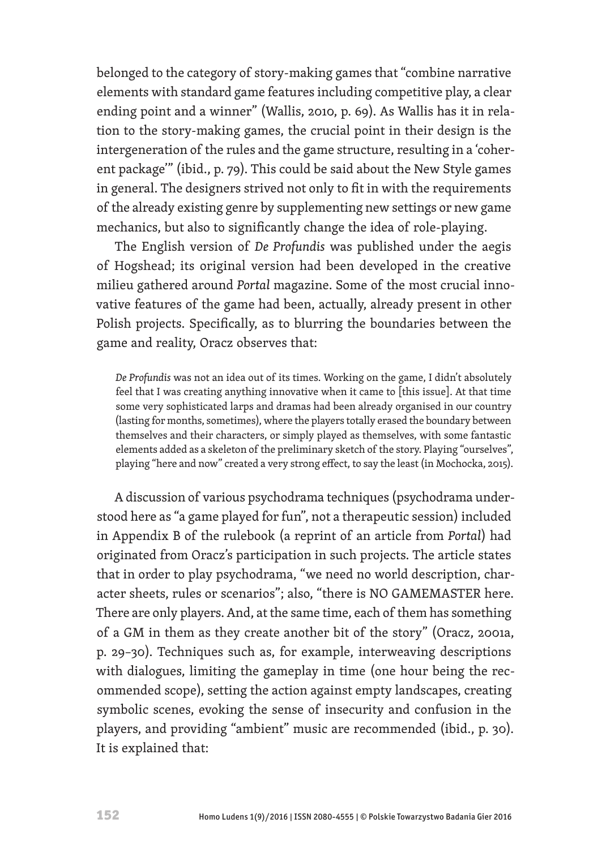belonged to the category of story-making games that "combine narrative elements with standard game features including competitive play, a clear ending point and a winner" (Wallis, 2010, p. 69). As Wallis has it in relation to the story-making games, the crucial point in their design is the intergeneration of the rules and the game structure, resulting in a 'coherent package'" (ibid., p. 79). This could be said about the New Style games in general. The designers strived not only to fit in with the requirements of the already existing genre by supplementing new settings or new game mechanics, but also to significantly change the idea of role-playing.

The English version of *De Profundis* was published under the aegis of Hogshead; its original version had been developed in the creative milieu gathered around *Portal* magazine. Some of the most crucial innovative features of the game had been, actually, already present in other Polish projects. Specifically, as to blurring the boundaries between the game and reality, Oracz observes that:

*De Profundis* was not an idea out of its times. Working on the game, I didn't absolutely feel that I was creating anything innovative when it came to [this issue]. At that time some very sophisticated larps and dramas had been already organised in our country (lasting for months, sometimes), where the players totally erased the boundary between themselves and their characters, or simply played as themselves, with some fantastic elements added as a skeleton of the preliminary sketch of the story. Playing "ourselves", playing "here and now" created a very strong effect, to say the least (in Mochocka, 2015).

A discussion of various psychodrama techniques (psychodrama understood here as "a game played for fun", not a therapeutic session) included in Appendix B of the rulebook (a reprint of an article from *Portal*) had originated from Oracz's participation in such projects. The article states that in order to play psychodrama, "we need no world description, character sheets, rules or scenarios"; also, "there is NO GAMEMASTER here. There are only players. And, at the same time, each of them has something of a GM in them as they create another bit of the story" (Oracz, 2001a, p. 29–30). Techniques such as, for example, interweaving descriptions with dialogues, limiting the gameplay in time (one hour being the recommended scope), setting the action against empty landscapes, creating symbolic scenes, evoking the sense of insecurity and confusion in the players, and providing "ambient" music are recommended (ibid., p. 30). It is explained that: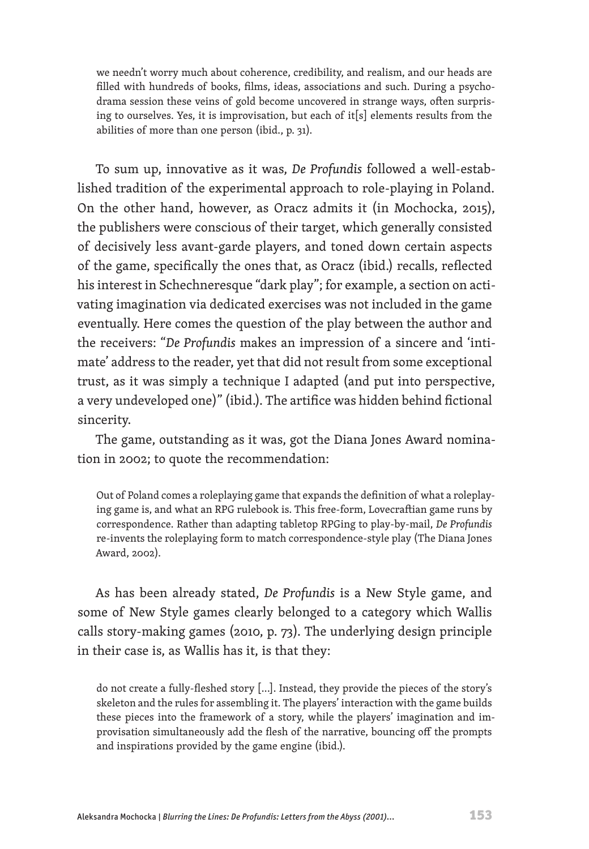we needn't worry much about coherence, credibility, and realism, and our heads are filled with hundreds of books, films, ideas, associations and such. During a psychodrama session these veins of gold become uncovered in strange ways, often surprising to ourselves. Yes, it is improvisation, but each of it[s] elements results from the abilities of more than one person (ibid., p. 31).

To sum up, innovative as it was, *De Profundis* followed a well-established tradition of the experimental approach to role-playing in Poland. On the other hand, however, as Oracz admits it (in Mochocka, 2015), the publishers were conscious of their target, which generally consisted of decisively less avant-garde players, and toned down certain aspects of the game, specifically the ones that, as Oracz (ibid.) recalls, reflected his interest in Schechneresque "dark play"; for example, a section on activating imagination via dedicated exercises was not included in the game eventually. Here comes the question of the play between the author and the receivers: "*De Profundis* makes an impression of a sincere and 'intimate' address to the reader, yet that did not result from some exceptional trust, as it was simply a technique I adapted (and put into perspective, a very undeveloped one)" (ibid.). The artifice was hidden behind fictional sincerity.

The game, outstanding as it was, got the Diana Jones Award nomination in 2002; to quote the recommendation:

Out of Poland comes a roleplaying game that expands the definition of what a roleplaying game is, and what an RPG rulebook is. This free-form, Lovecraftian game runs by correspondence. Rather than adapting tabletop RPGing to play-by-mail, *De Profundis* re-invents the roleplaying form to match correspondence-style play (The Diana Jones Award, 2002).

As has been already stated, *De Profundis* is a New Style game, and some of New Style games clearly belonged to a category which Wallis calls story-making games (2010, p. 73). The underlying design principle in their case is, as Wallis has it, is that they:

do not create a fully-fleshed story [...]. Instead, they provide the pieces of the story's skeleton and the rules for assembling it. The players' interaction with the game builds these pieces into the framework of a story, while the players' imagination and improvisation simultaneously add the flesh of the narrative, bouncing off the prompts and inspirations provided by the game engine (ibid.).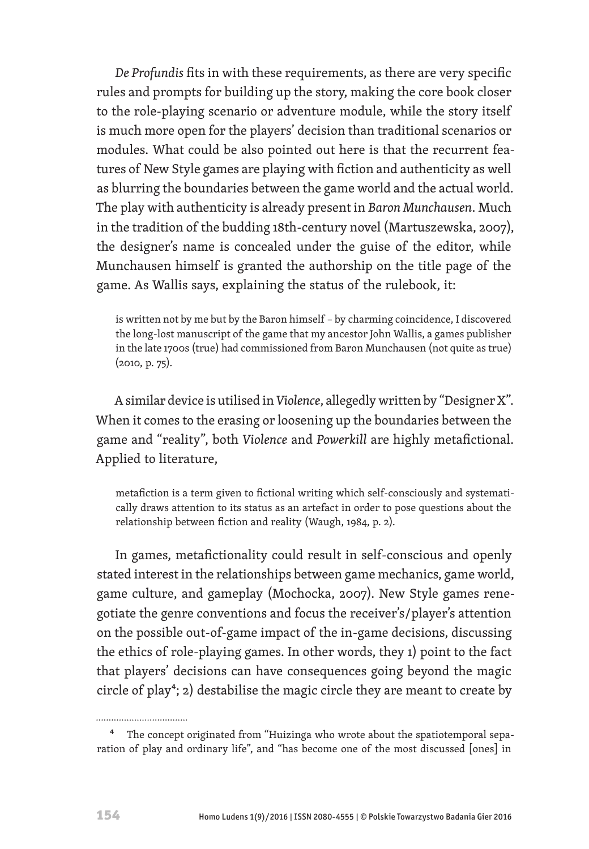*De Profundis* fits in with these requirements, as there are very specific rules and prompts for building up the story, making the core book closer to the role-playing scenario or adventure module, while the story itself is much more open for the players' decision than traditional scenarios or modules. What could be also pointed out here is that the recurrent features of New Style games are playing with fiction and authenticity as well as blurring the boundaries between the game world and the actual world. The play with authenticity is already present in *Baron Munchausen*. Much in the tradition of the budding 18th-century novel (Martuszewska, 2007), the designer's name is concealed under the guise of the editor, while Munchausen himself is granted the authorship on the title page of the game. As Wallis says, explaining the status of the rulebook, it:

is written not by me but by the Baron himself – by charming coincidence, I discovered the long-lost manuscript of the game that my ancestor John Wallis, a games publisher in the late 1700s (true) had commissioned from Baron Munchausen (not quite as true) (2010, p. 75).

A similar device is utilised in *Violence*, allegedly written by "Designer X". When it comes to the erasing or loosening up the boundaries between the game and "reality", both *Violence* and *Powerkill* are highly metafictional. Applied to literature,

metafiction is a term given to fictional writing which self-consciously and systematically draws attention to its status as an artefact in order to pose questions about the relationship between fiction and reality (Waugh, 1984, p. 2).

In games, metafictionality could result in self-conscious and openly stated interest in the relationships between game mechanics, game world, game culture, and gameplay (Mochocka, 2007). New Style games renegotiate the genre conventions and focus the receiver's/player's attention on the possible out-of-game impact of the in-game decisions, discussing the ethics of role-playing games. In other words, they 1) point to the fact that players' decisions can have consequences going beyond the magic circle of play<sup>4</sup>; 2) destabilise the magic circle they are meant to create by

<sup>&</sup>lt;sup>4</sup> The concept originated from "Huizinga who wrote about the spatiotemporal separation of play and ordinary life", and "has become one of the most discussed [ones] in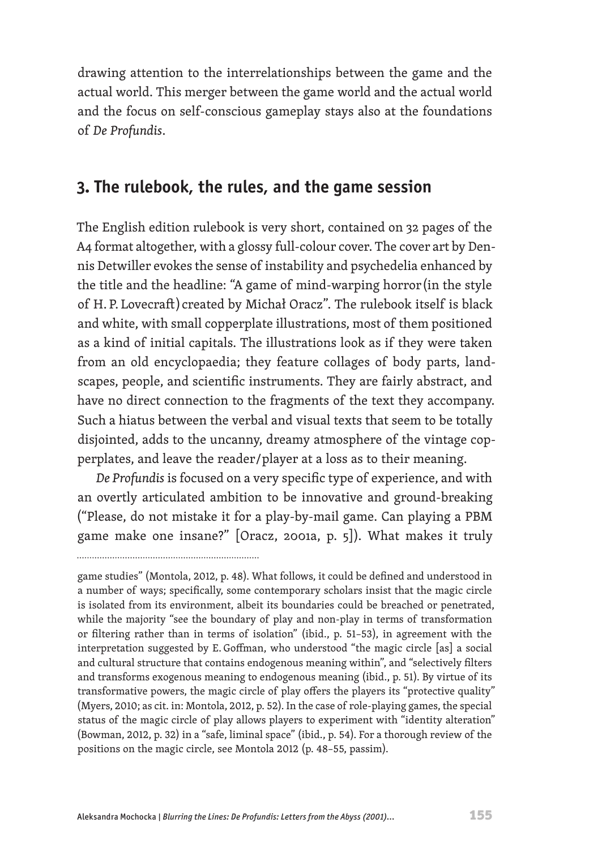drawing attention to the interrelationships between the game and the actual world. This merger between the game world and the actual world and the focus on self-conscious gameplay stays also at the foundations of *De Profundis*.

#### **3. The rulebook, the rules, and the game session**

The English edition rulebook is very short, contained on 32 pages of the A4 format altogether, with a glossy full-colour cover. The cover art by Dennis Detwiller evokes the sense of instability and psychedelia enhanced by the title and the headline: "A game of mind-warping horror (in the style of H. P. Lovecraft ) created by Michał Oracz". The rulebook itself is black and white, with small copperplate illustrations, most of them positioned as a kind of initial capitals. The illustrations look as if they were taken from an old encyclopaedia; they feature collages of body parts, landscapes, people, and scientific instruments. They are fairly abstract, and have no direct connection to the fragments of the text they accompany. Such a hiatus between the verbal and visual texts that seem to be totally disjointed, adds to the uncanny, dreamy atmosphere of the vintage copperplates, and leave the reader/player at a loss as to their meaning.

*De Profundis* is focused on a very specific type of experience, and with an overtly articulated ambition to be innovative and ground-breaking ("Please, do not mistake it for a play-by-mail game. Can playing a PBM game make one insane?" [Oracz, 2001a, p. 5]). What makes it truly

game studies" (Montola, 2012, p. 48). What follows, it could be defined and understood in a number of ways; specifically, some contemporary scholars insist that the magic circle is isolated from its environment, albeit its boundaries could be breached or penetrated, while the majority "see the boundary of play and non-play in terms of transformation or filtering rather than in terms of isolation" (ibid., p. 51–53), in agreement with the interpretation suggested by E. Goffman, who understood "the magic circle [as] a social and cultural structure that contains endogenous meaning within", and "selectively filters and transforms exogenous meaning to endogenous meaning (ibid., p. 51). By virtue of its transformative powers, the magic circle of play offers the players its "protective quality" (Myers, 2010; as cit. in: Montola, 2012, p. 52). In the case of role-playing games, the special status of the magic circle of play allows players to experiment with "identity alteration" (Bowman, 2012, p. 32) in a "safe, liminal space" (ibid., p. 54). For a thorough review of the positions on the magic circle, see Montola 2012 (p. 48–55, passim).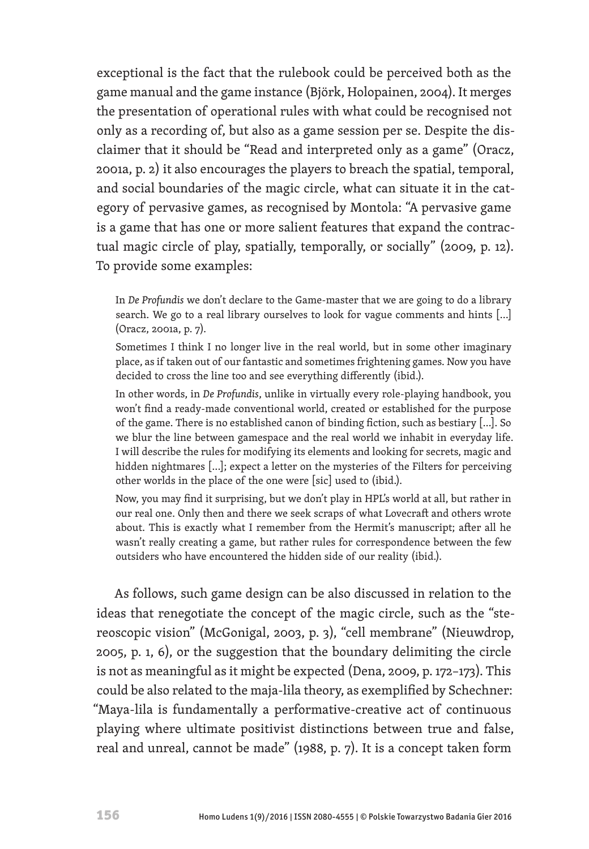exceptional is the fact that the rulebook could be perceived both as the game manual and the game instance (Björk, Holopainen, 2004). It merges the presentation of operational rules with what could be recognised not only as a recording of, but also as a game session per se. Despite the disclaimer that it should be "Read and interpreted only as a game" (Oracz, 2001a, p. 2) it also encourages the players to breach the spatial, temporal, and social boundaries of the magic circle, what can situate it in the category of pervasive games, as recognised by Montola: "A pervasive game is a game that has one or more salient features that expand the contractual magic circle of play, spatially, temporally, or socially" (2009, p. 12). To provide some examples:

In *De Profundis* we don't declare to the Game-master that we are going to do a library search. We go to a real library ourselves to look for vague comments and hints [...] (Oracz, 2001a, p. 7).

Sometimes I think I no longer live in the real world, but in some other imaginary place, as if taken out of our fantastic and sometimes frightening games. Now you have decided to cross the line too and see everything differently (ibid.).

In other words, in *De Profundis*, unlike in virtually every role-playing handbook, you won't find a ready-made conventional world, created or established for the purpose of the game. There is no established canon of binding fiction, such as bestiary [...]. So we blur the line between gamespace and the real world we inhabit in everyday life. I will describe the rules for modifying its elements and looking for secrets, magic and hidden nightmares [...]; expect a letter on the mysteries of the Filters for perceiving other worlds in the place of the one were [sic] used to (ibid.).

Now, you may find it surprising, but we don't play in HPL's world at all, but rather in our real one. Only then and there we seek scraps of what Lovecraft and others wrote about. This is exactly what I remember from the Hermit's manuscript; after all he wasn't really creating a game, but rather rules for correspondence between the few outsiders who have encountered the hidden side of our reality (ibid.).

As follows, such game design can be also discussed in relation to the ideas that renegotiate the concept of the magic circle, such as the "stereoscopic vision" (McGonigal, 2003, p. 3), "cell membrane" (Nieuwdrop, 2005, p. 1, 6), or the suggestion that the boundary delimiting the circle is not as meaningful as it might be expected (Dena, 2009, p. 172–173). This could be also related to the maja-lila theory, as exemplified by Schechner: "Maya-lila is fundamentally a performative-creative act of continuous playing where ultimate positivist distinctions between true and false, real and unreal, cannot be made" (1988, p. 7). It is a concept taken form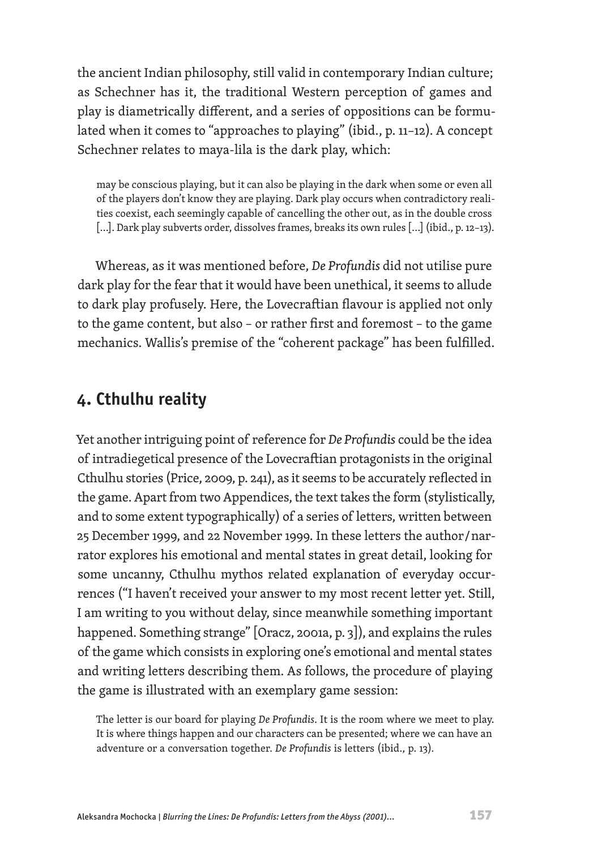the ancient Indian philosophy, still valid in contemporary Indian culture; as Schechner has it, the traditional Western perception of games and play is diametrically different, and a series of oppositions can be formulated when it comes to "approaches to playing" (ibid., p. 11–12). A concept Schechner relates to maya-lila is the dark play, which:

may be conscious playing, but it can also be playing in the dark when some or even all of the players don't know they are playing. Dark play occurs when contradictory realities coexist, each seemingly capable of cancelling the other out, as in the double cross [...]. Dark play subverts order, dissolves frames, breaks its own rules [...] (ibid., p. 12-13).

Whereas, as it was mentioned before, *De Profundis* did not utilise pure dark play for the fear that it would have been unethical, it seems to allude to dark play profusely. Here, the Lovecraftian flavour is applied not only to the game content, but also – or rather first and foremost – to the game mechanics. Wallis's premise of the "coherent package" has been fulfilled.

#### **4. Cthulhu reality**

Yet another intriguing point of reference for *De Profundis* could be the idea of intradiegetical presence of the Lovecraftian protagonists in the original Cthulhu stories (Price, 2009, p. 241), as it seems to be accurately reflected in the game. Apart from two Appendices, the text takes the form (stylistically, and to some extent typographically) of a series of letters, written between 25 December 1999, and 22 November 1999. In these letters the author / narrator explores his emotional and mental states in great detail, looking for some uncanny, Cthulhu mythos related explanation of everyday occurrences ("I haven't received your answer to my most recent letter yet. Still, I am writing to you without delay, since meanwhile something important happened. Something strange" [Oracz, 2001a, p. 3]), and explains the rules of the game which consists in exploring one's emotional and mental states and writing letters describing them. As follows, the procedure of playing the game is illustrated with an exemplary game session:

The letter is our board for playing *De Profundis*. It is the room where we meet to play. It is where things happen and our characters can be presented; where we can have an adventure or a conversation together. *De Profundis* is letters (ibid., p. 13).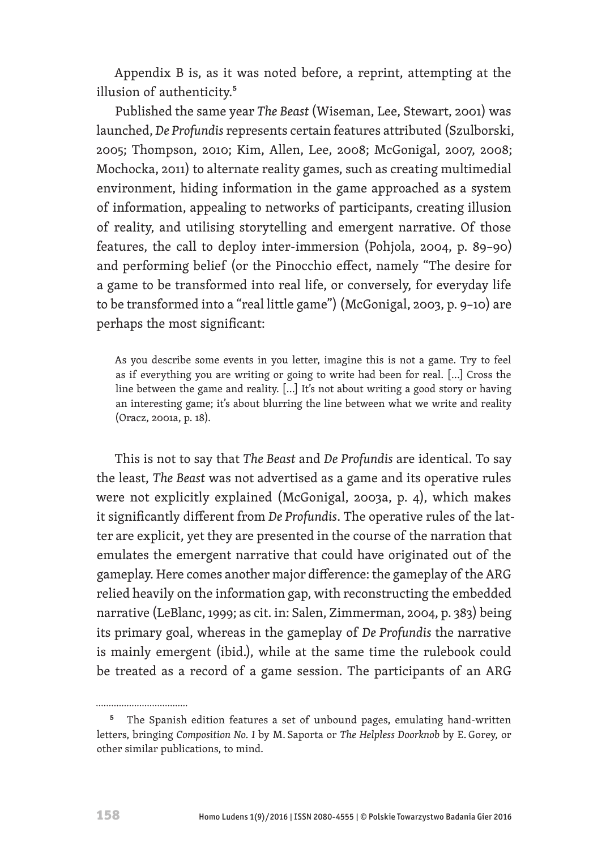Appendix B is, as it was noted before, a reprint, attempting at the illusion of authenticity.<sup>5</sup>

Published the same year *The Beast* (Wiseman, Lee, Stewart, 2001) was launched, *De Profundis* represents certain features attributed (Szulborski, 2005; Thompson, 2010; Kim, Allen, Lee, 2008; McGonigal, 2007, 2008; Mochocka, 2011) to alternate reality games, such as creating multimedial environment, hiding information in the game approached as a system of information, appealing to networks of participants, creating illusion of reality, and utilising storytelling and emergent narrative. Of those features, the call to deploy inter-immersion (Pohjola, 2004, p. 89–90) and performing belief (or the Pinocchio effect, namely "The desire for a game to be transformed into real life, or conversely, for everyday life to be transformed into a "real little game") (McGonigal, 2003, p. 9–10) are perhaps the most significant:

As you describe some events in you letter, imagine this is not a game. Try to feel as if everything you are writing or going to write had been for real. [...] Cross the line between the game and reality. […] It's not about writing a good story or having an interesting game; it's about blurring the line between what we write and reality (Oracz, 2001a, p. 18).

This is not to say that *The Beast* and *De Profundis* are identical. To say the least, *The Beast* was not advertised as a game and its operative rules were not explicitly explained (McGonigal, 2003a, p. 4), which makes it significantly different from *De Profundis*. The operative rules of the latter are explicit, yet they are presented in the course of the narration that emulates the emergent narrative that could have originated out of the gameplay. Here comes another major difference: the gameplay of the ARG relied heavily on the information gap, with reconstructing the embedded narrative (LeBlanc, 1999; as cit. in: Salen, Zimmerman, 2004, p. 383) being its primary goal, whereas in the gameplay of *De Profundis* the narrative is mainly emergent (ibid.), while at the same time the rulebook could be treated as a record of a game session. The participants of an ARG

...............................

<sup>&</sup>lt;sup>5</sup> The Spanish edition features a set of unbound pages, emulating hand-written letters, bringing *Composition No. 1* by M. Saporta or *The Helpless Doorknob* by E. Gorey, or other similar publications, to mind.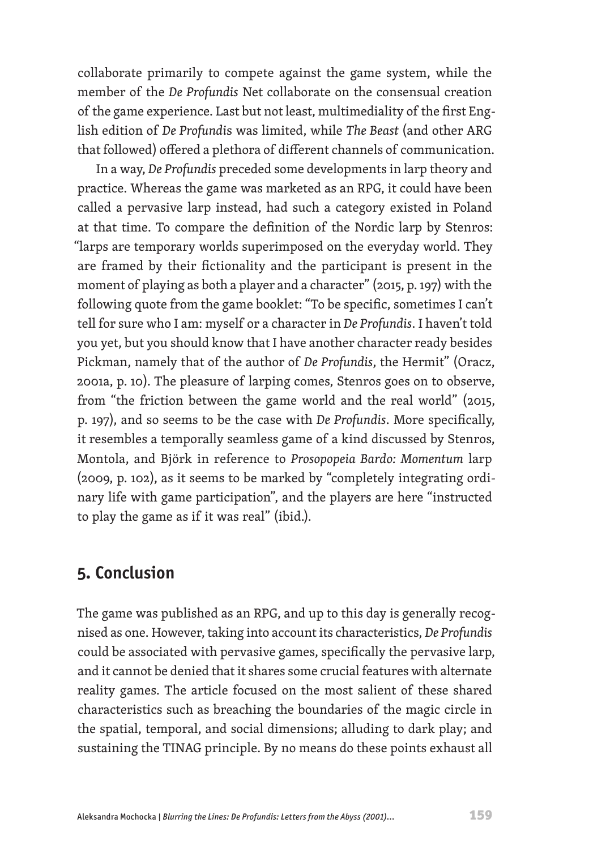collaborate primarily to compete against the game system, while the member of the *De Profundis* Net collaborate on the consensual creation of the game experience. Last but not least, multimediality of the first English edition of *De Profundi*s was limited, while *The Beast* (and other ARG that followed) offered a plethora of different channels of communication.

In a way, *De Profundis* preceded some developments in larp theory and practice. Whereas the game was marketed as an RPG, it could have been called a pervasive larp instead, had such a category existed in Poland at that time. To compare the definition of the Nordic larp by Stenros: "larps are temporary worlds superimposed on the everyday world. They are framed by their fictionality and the participant is present in the moment of playing as both a player and a character" (2015, p. 197) with the following quote from the game booklet: "To be specific, sometimes I can't tell for sure who I am: myself or a character in *De Profundis*. I haven't told you yet, but you should know that I have another character ready besides Pickman, namely that of the author of *De Profundis*, the Hermit" (Oracz, 2001a, p. 10). The pleasure of larping comes, Stenros goes on to observe, from "the friction between the game world and the real world" (2015, p. 197), and so seems to be the case with *De Profundis*. More specifically, it resembles a temporally seamless game of a kind discussed by Stenros, Montola, and Björk in reference to *Prosopopeia Bardo: Momentum* larp (2009, p. 102), as it seems to be marked by "completely integrating ordinary life with game participation", and the players are here "instructed to play the game as if it was real" (ibid.).

#### **5. Conclusion**

The game was published as an RPG, and up to this day is generally recognised as one. However, taking into account its characteristics, *De Profundis*  could be associated with pervasive games, specifically the pervasive larp, and it cannot be denied that it shares some crucial features with alternate reality games. The article focused on the most salient of these shared characteristics such as breaching the boundaries of the magic circle in the spatial, temporal, and social dimensions; alluding to dark play; and sustaining the TINAG principle. By no means do these points exhaust all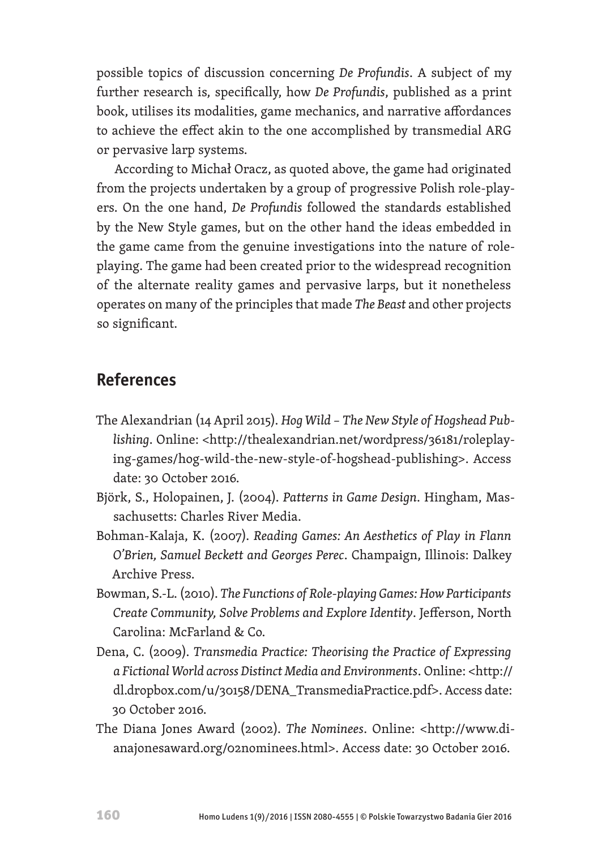possible topics of discussion concerning *De Profundis*. A subject of my further research is, specifically, how *De Profundis*, published as a print book, utilises its modalities, game mechanics, and narrative affordances to achieve the effect akin to the one accomplished by transmedial ARG or pervasive larp systems.

According to Michał Oracz, as quoted above, the game had originated from the projects undertaken by a group of progressive Polish role-players. On the one hand, *De Profundis* followed the standards established by the New Style games, but on the other hand the ideas embedded in the game came from the genuine investigations into the nature of roleplaying. The game had been created prior to the widespread recognition of the alternate reality games and pervasive larps, but it nonetheless operates on many of the principles that made *The Beast* and other projects so significant.

## **References**

- The Alexandrian (14 April 2015). *Hog Wild The New Style of Hogshead Publishing*. Online: <http://thealexandrian.net/wordpress/36181/roleplaying-games/hog-wild-the-new-style-of-hogshead-publishing>. Access date: 30 October 2016.
- Björk, S., Holopainen, J. (2004). *Patterns in Game Design*. Hingham, Massachusetts: Charles River Media.
- Bohman-Kalaja, K. (2007). *Reading Games: An Aesthetics of Play in Flann O'Brien, Samuel Beckett and Georges Perec*. Champaign, Illinois: Dalkey Archive Press.
- Bowman, S.-L. (2010). *The Functions of Role-playing Games: How Participants Create Community, Solve Problems and Explore Identity*. Jefferson, North Carolina: McFarland & Co.
- Dena, C. (2009). *Transmedia Practice: Theorising the Practice of Expressing a Fictional World across Distinct Media and Environments*. Online: <http:// dl.dropbox.com/u/30158/DENA\_TransmediaPractice.pdf>. Access date: 30 October 2016.
- The Diana Jones Award (2002). *The Nominees*. Online: <http://www.dianajonesaward.org/02nominees.html>. Access date: 30 October 2016.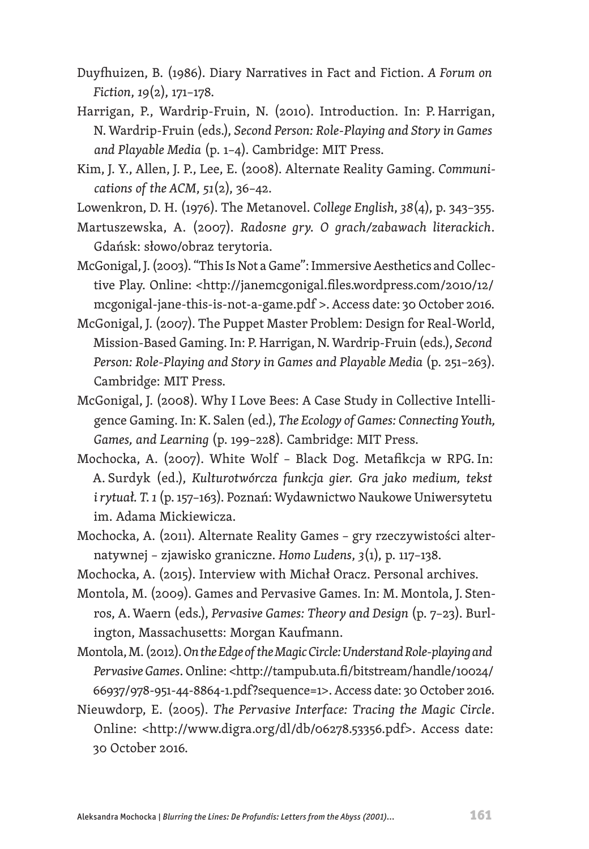- Duyfhuizen, B. (1986). Diary Narratives in Fact and Fiction. *A Forum on Fiction*, *19*(2), 171–178.
- Harrigan, P., Wardrip-Fruin, N. (2010). Introduction. In: P. Harrigan, N. Wardrip-Fruin (eds.), *Second Person: Role-Playing and Story in Games and Playable Media* (p. 1–4). Cambridge: MIT Press.
- Kim, J. Y., Allen, J. P., Lee, E. (2008). Alternate Reality Gaming. *Communications of the ACM*, *51*(2), 36–42.
- Lowenkron, D. H. (1976). The Metanovel. *College English*, *38*(4), p. 343–355.
- Martuszewska, A. (2007). *Radosne gry. O grach/zabawach literackich*. Gdańsk: słowo/obraz terytoria.
- McGonigal, J. (2003). "This Is Not a Game": Immersive Aesthetics and Collective Play. Online: <http://janemcgonigal.files.wordpress.com/2010/12/ mcgonigal-jane-this-is-not-a-game.pdf >. Access date: 30 October 2016.
- McGonigal, J. (2007). The Puppet Master Problem: Design for Real-World, Mission-Based Gaming. In: P. Harrigan, N.Wardrip-Fruin (eds.), *Second Person: Role-Playing and Story in Games and Playable Media* (p. 251–263). Cambridge: MIT Press.
- McGonigal, J. (2008). Why I Love Bees: A Case Study in Collective Intelligence Gaming. In: K. Salen (ed.), *The Ecology of Games: Connecting Youth, Games, and Learning* (p. 199–228). Cambridge: MIT Press.
- Mochocka, A. (2007). White Wolf Black Dog. Metafikcja w RPG. In: A. Surdyk (ed.), *Kulturotwórcza funkcja gier. Gra jako medium, tekst i rytuał. T.1* (p. 157–163). Poznań: Wydawnictwo Naukowe Uniwersytetu im. Adama Mickiewicza.
- Mochocka, A. (2011). Alternate Reality Games gry rzeczywistości alternatywnej – zjawisko graniczne. *Homo Ludens*, *3*(1), p. 117–138.
- Mochocka, A. (2015). Interview with Michał Oracz. Personal archives.
- Montola, M. (2009). Games and Pervasive Games. In: M. Montola, J. Stenros, A. Waern (eds.), *Pervasive Games: Theory and Design* (p. 7–23). Burlington, Massachusetts: Morgan Kaufmann.
- Montola, M. (2012). *On the Edge of the Magic Circle: Understand Role-playing and Pervasive Games*. Online: <http://tampub.uta.fi/bitstream/handle/10024/ 66937/978-951-44-8864-1.pdf?sequence=1>. Access date: 30 October 2016.
- Nieuwdorp, E. (2005). *The Pervasive Interface: Tracing the Magic Circle*. Online: <http://www.digra.org/dl/db/06278.53356.pdf>. Access date: 30 October 2016.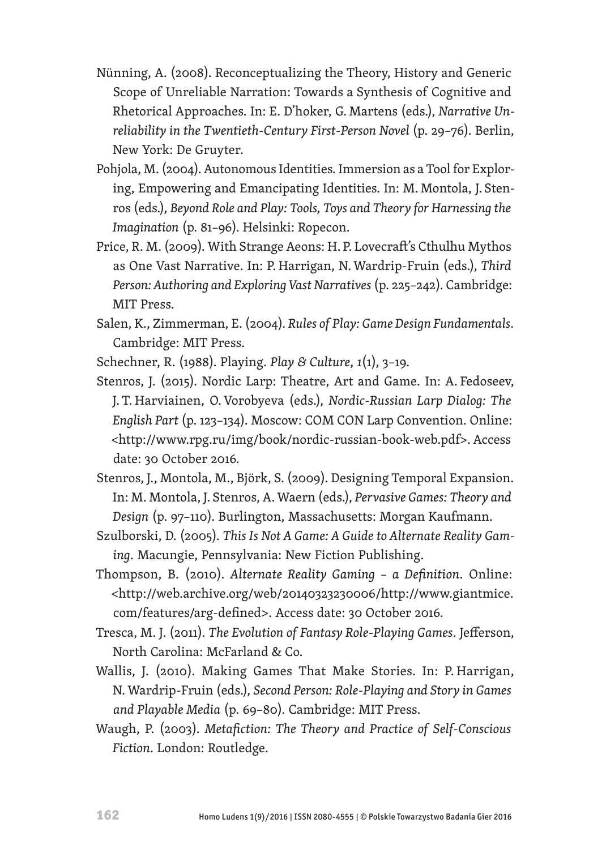- Nünning, A. (2008). Reconceptualizing the Theory, History and Generic Scope of Unreliable Narration: Towards a Synthesis of Cognitive and Rhetorical Approaches. In: E. D'hoker, G. Martens (eds.), *Narrative Unreliability in the Twentieth-Century First-Person Novel* (p. 29–76). Berlin, New York: De Gruyter.
- Pohjola, M. (2004). Autonomous Identities. Immersion as a Tool for Exploring, Empowering and Emancipating Identities. In: M. Montola, J. Stenros (eds.), *Beyond Role and Play: Tools, Toys and Theory for Harnessing the Imagination* (p. 81–96). Helsinki: Ropecon.
- Price, R. M. (2009). With Strange Aeons: H. P. Lovecraft's Cthulhu Mythos as One Vast Narrative. In: P. Harrigan, N. Wardrip-Fruin (eds.), *Third Person: Authoring and Exploring Vast Narratives* (p. 225–242). Cambridge: MIT Press.
- Salen, K., Zimmerman, E. (2004). *Rules of Play: Game Design Fundamentals*. Cambridge: MIT Press.
- Schechner, R. (1988). Playing. *Play & Culture*, *1*(1), 3–19.
- Stenros, J. (2015). Nordic Larp: Theatre, Art and Game. In: A. Fedoseev, J. T. Harviainen, O.Vorobyeva (eds.), *Nordic-Russian Larp Dialog: The English Part* (p. 123–134). Moscow: COM CON Larp Convention. Online: <http://www.rpg.ru/img/book/nordic-russian-book-web.pdf>. Access date: 30 October 2016.
- Stenros, J., Montola, M., Björk, S. (2009). Designing Temporal Expansion. In: M. Montola, J. Stenros, A. Waern (eds.), *Pervasive Games: Theory and Design* (p. 97–110). Burlington, Massachusetts: Morgan Kaufmann.
- Szulborski, D. (2005). *This Is Not A Game: A Guide to Alternate Reality Gaming*. Macungie, Pennsylvania: New Fiction Publishing.
- Thompson, B. (2010). *Alternate Reality Gaming a Definition*. Online: <http://web.archive.org/web/20140323230006/http://www.giantmice. com/features/arg-defined>. Access date: 30 October 2016.
- Tresca, M. J. (2011). *The Evolution of Fantasy Role-Playing Games*. Jefferson, North Carolina: McFarland & Co.
- Wallis, J. (2010). Making Games That Make Stories. In: P. Harrigan, N. Wardrip-Fruin (eds.), *Second Person: Role-Playing and Story in Games and Playable Media* (p. 69–80). Cambridge: MIT Press.
- Waugh, P. (2003). *Metafiction: The Theory and Practice of Self-Conscious Fiction*. London: Routledge.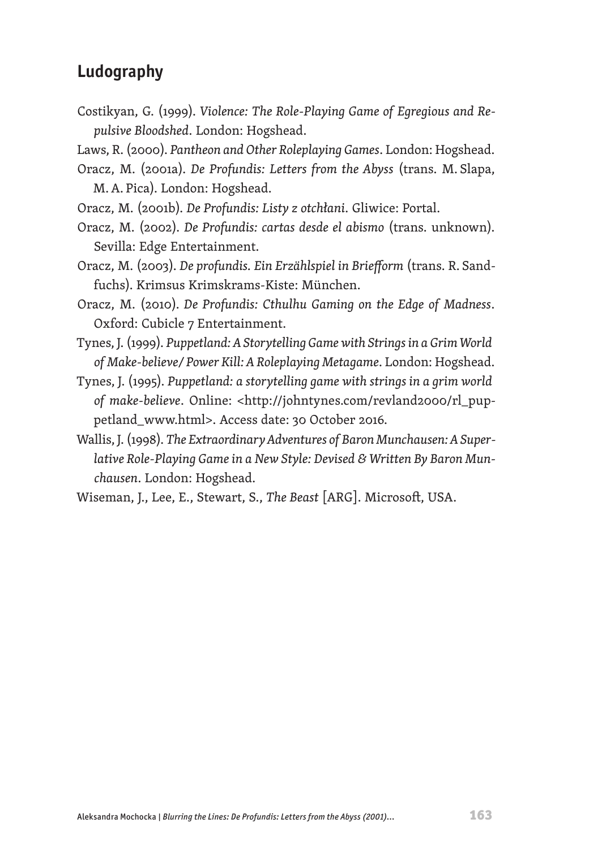# **Ludography**

- Costikyan, G. (1999). *Violence: The Role-Playing Game of Egregious and Repulsive Bloodshed*. London: Hogshead.
- Laws, R. (2000). *Pantheon and Other Roleplaying Games*. London: Hogshead.
- Oracz, M. (2001a). *De Profundis: Letters from the Abyss* (trans. M. Slapa, M.A. Pica). London: Hogshead.
- Oracz, M. (2001b). *De Profundis: Listy z otchłani*. Gliwice: Portal.
- Oracz, M. (2002). *De Profundis: cartas desde el abismo* (trans. unknown). Sevilla: Edge Entertainment.
- Oracz, M. (2003). *De profundis. Ein Erzählspiel in Briefform* (trans. R. Sandfuchs). Krimsus Krimskrams-Kiste: München.
- Oracz, M. (2010). *De Profundis: Cthulhu Gaming on the Edge of Madness*. Oxford: Cubicle 7 Entertainment.
- Tynes, J. (1999). *Puppetland: A Storytelling Game with Strings in a Grim World of Make-believe/ Power Kill: A Roleplaying Metagame*. London: Hogshead.
- Tynes, J. (1995). *Puppetland: a storytelling game with strings in a grim world of make-believe*. Online: <http://johntynes.com/revland2000/rl\_puppetland\_www.html>. Access date: 30 October 2016.
- Wallis, J. (1998). *The Extraordinary Adventures of Baron Munchausen: A Superlative Role-Playing Game in a New Style: Devised & Written By Baron Munchausen*. London: Hogshead.
- Wiseman, J., Lee, E., Stewart, S., *The Beast* [ARG]. Microsoft, USA.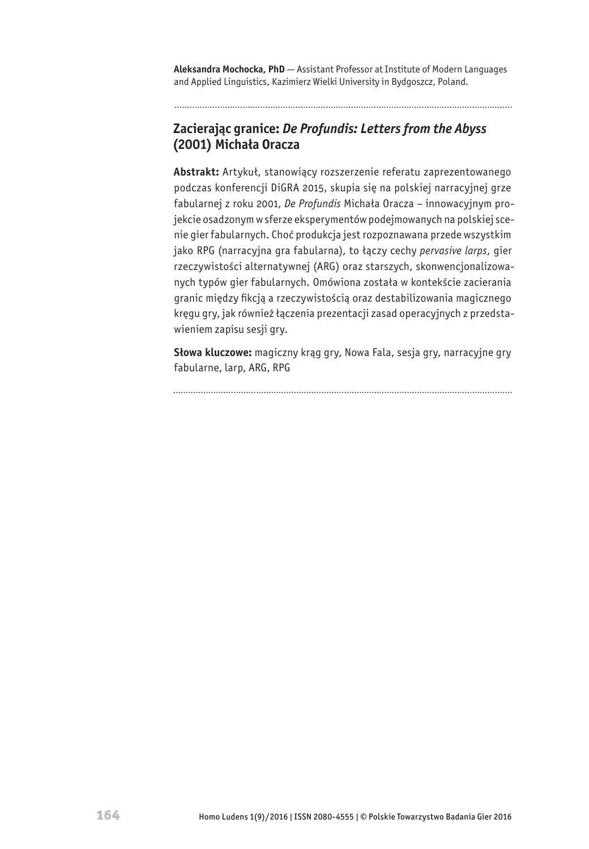**Aleksandra Mochocka, PhD** — Assistant Professor at Institute of Modern Languages and Applied Linguistics, Kazimierz Wielki University in Bydgoszcz, Poland.

. . . . . . . . . . . . . . . .

#### **Zacierając granice:** *De Profundis: Letters from the Abyss* **(2001) Michała Oracza**

**Abstrakt:** Artykuł, stanowiący rozszerzenie referatu zaprezentowanego podczas konferencji DiGRA 2015, skupia się na polskiej narracyjnej grze fabularnej z roku 2001, *De Profundis* Michała Oracza – innowacyjnym projekcie osadzonym w sferze eksperymentów podejmowanych na polskiej scenie gier fabularnych. Choć produkcja jest rozpoznawana przede wszystkim jako RPG (narracyjna gra fabularna), to łączy cechy *pervasive larps*, gier rzeczywistości alternatywnej (ARG) oraz starszych, skonwencjonalizowanych typów gier fabularnych. Omówiona została w kontekście zacierania granic między fikcją a rzeczywistością oraz destabilizowania magicznego kręgu gry, jak również łączenia prezentacji zasad operacyjnych z przedstawieniem zapisu sesji gry.

**Słowa kluczowe:** magiczny krąg gry, Nowa Fala, sesja gry, narracyjne gry fabularne, larp, ARG, RPG